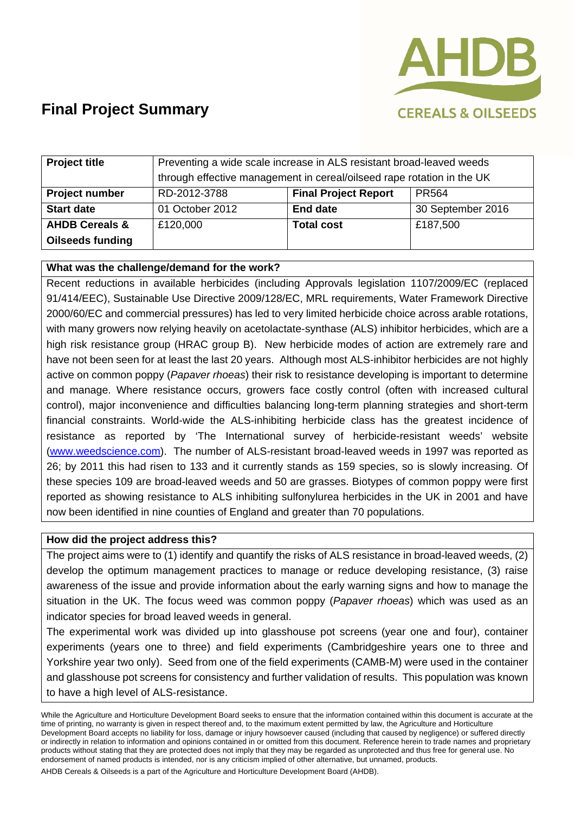

| <b>Project title</b>      | Preventing a wide scale increase in ALS resistant broad-leaved weeds   |                             |                   |
|---------------------------|------------------------------------------------------------------------|-----------------------------|-------------------|
|                           | through effective management in cereal/oilseed rape rotation in the UK |                             |                   |
| <b>Project number</b>     | RD-2012-3788                                                           | <b>Final Project Report</b> | <b>PR564</b>      |
| <b>Start date</b>         | 01 October 2012                                                        | <b>End date</b>             | 30 September 2016 |
| <b>AHDB Cereals &amp;</b> | £120,000                                                               | <b>Total cost</b>           | £187,500          |
| <b>Oilseeds funding</b>   |                                                                        |                             |                   |

## **What was the challenge/demand for the work?**

Recent reductions in available herbicides (including Approvals legislation 1107/2009/EC (replaced 91/414/EEC), Sustainable Use Directive 2009/128/EC, MRL requirements, Water Framework Directive 2000/60/EC and commercial pressures) has led to very limited herbicide choice across arable rotations, with many growers now relying heavily on acetolactate-synthase (ALS) inhibitor herbicides, which are a high risk resistance group (HRAC group B). New herbicide modes of action are extremely rare and have not been seen for at least the last 20 years. Although most ALS-inhibitor herbicides are not highly active on common poppy (*Papaver rhoeas*) their risk to resistance developing is important to determine and manage. Where resistance occurs, growers face costly control (often with increased cultural control), major inconvenience and difficulties balancing long-term planning strategies and short-term financial constraints. World-wide the ALS-inhibiting herbicide class has the greatest incidence of resistance as reported by 'The International survey of herbicide-resistant weeds' website (www.weedscience.com). The number of ALS-resistant broad-leaved weeds in 1997 was reported as 26; by 2011 this had risen to 133 and it currently stands as 159 species, so is slowly increasing. Of these species 109 are broad-leaved weeds and 50 are grasses. Biotypes of common poppy were first reported as showing resistance to ALS inhibiting sulfonylurea herbicides in the UK in 2001 and have now been identified in nine counties of England and greater than 70 populations.

### **How did the project address this?**

The project aims were to (1) identify and quantify the risks of ALS resistance in broad-leaved weeds, (2) develop the optimum management practices to manage or reduce developing resistance, (3) raise awareness of the issue and provide information about the early warning signs and how to manage the situation in the UK. The focus weed was common poppy (*Papaver rhoeas*) which was used as an indicator species for broad leaved weeds in general.

The experimental work was divided up into glasshouse pot screens (year one and four), container experiments (years one to three) and field experiments (Cambridgeshire years one to three and Yorkshire year two only). Seed from one of the field experiments (CAMB-M) were used in the container and glasshouse pot screens for consistency and further validation of results. This population was known to have a high level of ALS-resistance.

While the Agriculture and Horticulture Development Board seeks to ensure that the information contained within this document is accurate at the time of printing, no warranty is given in respect thereof and, to the maximum extent permitted by law, the Agriculture and Horticulture Development Board accepts no liability for loss, damage or injury howsoever caused (including that caused by negligence) or suffered directly or indirectly in relation to information and opinions contained in or omitted from this document. Reference herein to trade names and proprietary products without stating that they are protected does not imply that they may be regarded as unprotected and thus free for general use. No endorsement of named products is intended, nor is any criticism implied of other alternative, but unnamed, products.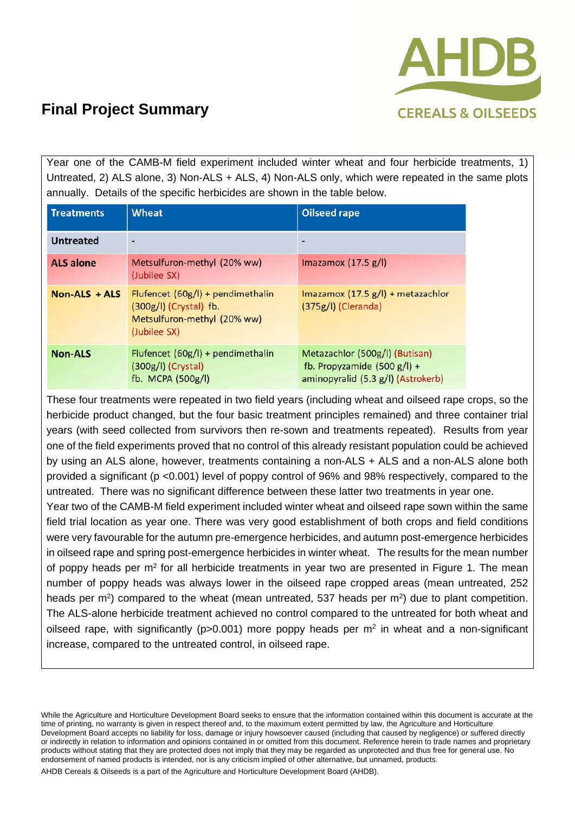

Year one of the CAMB-M field experiment included winter wheat and four herbicide treatments, 1) Untreated, 2) ALS alone, 3) Non-ALS + ALS, 4) Non-ALS only, which were repeated in the same plots annually. Details of the specific herbicides are shown in the table below.

| <b>Treatments</b> | <b>Wheat</b>                                                                                                   | <b>Oilseed rape</b>                                                                                   |
|-------------------|----------------------------------------------------------------------------------------------------------------|-------------------------------------------------------------------------------------------------------|
| <b>Untreated</b>  |                                                                                                                |                                                                                                       |
| <b>ALS alone</b>  | Metsulfuron-methyl (20% ww)<br>(Jubilee SX)                                                                    | Imazamox $(17.5 g/l)$                                                                                 |
| $Non-ALS + ALS$   | Flufencet $(60g/l)$ + pendimethalin<br>$(300g/l)$ (Crystal) fb.<br>Metsulfuron-methyl (20% ww)<br>(Jubilee SX) | Imazamox $(17.5 g/l)$ + metazachlor<br>$(375g/l)$ (Cleranda)                                          |
| <b>Non-ALS</b>    | Flufencet (60g/l) + pendimethalin<br>$(300g/l)$ (Crystal)<br>fb. MCPA (500g/l)                                 | Metazachlor (500g/l) (Butisan)<br>fb. Propyzamide $(500 g/l) +$<br>aminopyralid (5.3 g/l) (Astrokerb) |

These four treatments were repeated in two field years (including wheat and oilseed rape crops, so the herbicide product changed, but the four basic treatment principles remained) and three container trial years (with seed collected from survivors then re-sown and treatments repeated). Results from year one of the field experiments proved that no control of this already resistant population could be achieved by using an ALS alone, however, treatments containing a non-ALS + ALS and a non-ALS alone both provided a significant (p <0.001) level of poppy control of 96% and 98% respectively, compared to the untreated. There was no significant difference between these latter two treatments in year one.

Year two of the CAMB-M field experiment included winter wheat and oilseed rape sown within the same field trial location as year one. There was very good establishment of both crops and field conditions were very favourable for the autumn pre-emergence herbicides, and autumn post-emergence herbicides in oilseed rape and spring post-emergence herbicides in winter wheat. The results for the mean number of poppy heads per  $m^2$  for all herbicide treatments in year two are presented in Figure 1. The mean number of poppy heads was always lower in the oilseed rape cropped areas (mean untreated, 252 heads per  $m<sup>2</sup>$ ) compared to the wheat (mean untreated, 537 heads per  $m<sup>2</sup>$ ) due to plant competition. The ALS-alone herbicide treatment achieved no control compared to the untreated for both wheat and oilseed rape, with significantly ( $p>0.001$ ) more poppy heads per  $m<sup>2</sup>$  in wheat and a non-significant increase, compared to the untreated control, in oilseed rape.

While the Agriculture and Horticulture Development Board seeks to ensure that the information contained within this document is accurate at the time of printing, no warranty is given in respect thereof and, to the maximum extent permitted by law, the Agriculture and Horticulture Development Board accepts no liability for loss, damage or injury howsoever caused (including that caused by negligence) or suffered directly or indirectly in relation to information and opinions contained in or omitted from this document. Reference herein to trade names and proprietary products without stating that they are protected does not imply that they may be regarded as unprotected and thus free for general use. No endorsement of named products is intended, nor is any criticism implied of other alternative, but unnamed, products.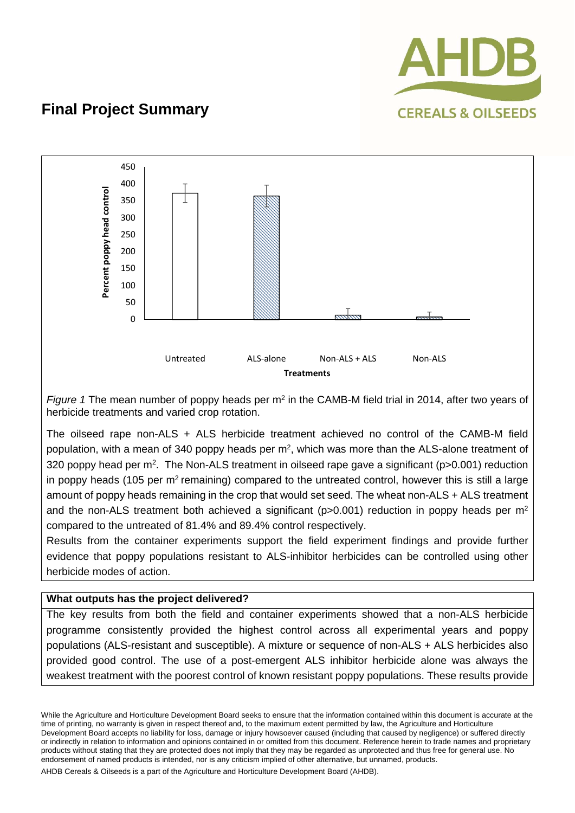



*Figure 1* The mean number of poppy heads per m<sup>2</sup> in the CAMB-M field trial in 2014, after two years of herbicide treatments and varied crop rotation.

The oilseed rape non-ALS + ALS herbicide treatment achieved no control of the CAMB-M field population, with a mean of 340 poppy heads per m<sup>2</sup>, which was more than the ALS-alone treatment of 320 poppy head per m<sup>2</sup>. The Non-ALS treatment in oilseed rape gave a significant (p>0.001) reduction in poppy heads (105 per m<sup>2</sup> remaining) compared to the untreated control, however this is still a large amount of poppy heads remaining in the crop that would set seed. The wheat non-ALS + ALS treatment and the non-ALS treatment both achieved a significant ( $p>0.001$ ) reduction in poppy heads per m<sup>2</sup> compared to the untreated of 81.4% and 89.4% control respectively.

Results from the container experiments support the field experiment findings and provide further evidence that poppy populations resistant to ALS-inhibitor herbicides can be controlled using other herbicide modes of action.

### **What outputs has the project delivered?**

The key results from both the field and container experiments showed that a non-ALS herbicide programme consistently provided the highest control across all experimental years and poppy populations (ALS-resistant and susceptible). A mixture or sequence of non-ALS + ALS herbicides also provided good control. The use of a post-emergent ALS inhibitor herbicide alone was always the weakest treatment with the poorest control of known resistant poppy populations. These results provide

While the Agriculture and Horticulture Development Board seeks to ensure that the information contained within this document is accurate at the time of printing, no warranty is given in respect thereof and, to the maximum extent permitted by law, the Agriculture and Horticulture Development Board accepts no liability for loss, damage or injury howsoever caused (including that caused by negligence) or suffered directly or indirectly in relation to information and opinions contained in or omitted from this document. Reference herein to trade names and proprietary products without stating that they are protected does not imply that they may be regarded as unprotected and thus free for general use. No endorsement of named products is intended, nor is any criticism implied of other alternative, but unnamed, products.